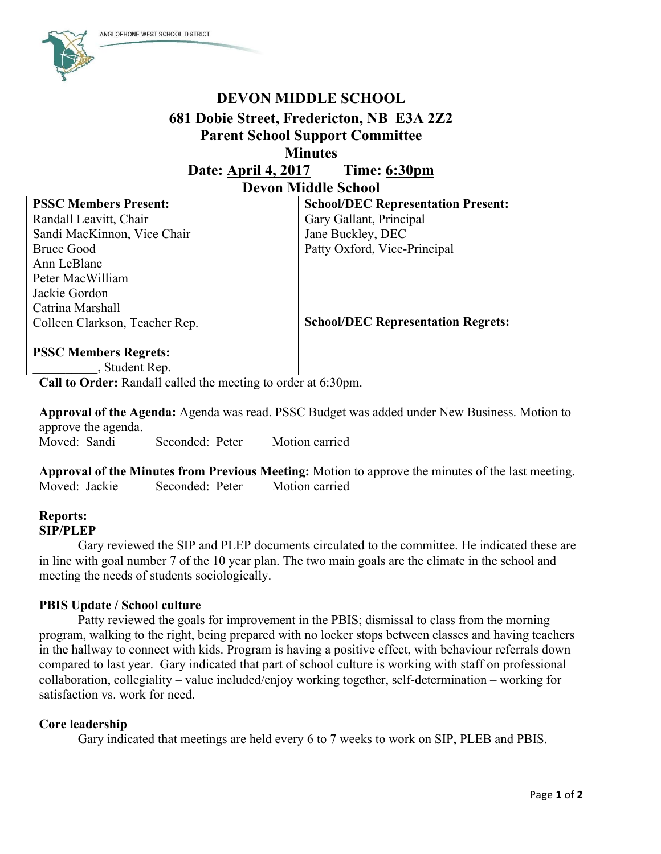

# **DEVON MIDDLE SCHOOL 681 Dobie Street, Fredericton, NB E3A 2Z2 Parent School Support Committee Minutes**

**Date: April 4, 2017 Time: 6:30pm Devon Middle School**

| <b>PSSC Members Present:</b>   | <b>School/DEC Representation Present:</b> |
|--------------------------------|-------------------------------------------|
| Randall Leavitt, Chair         | Gary Gallant, Principal                   |
| Sandi MacKinnon, Vice Chair    | Jane Buckley, DEC                         |
| <b>Bruce Good</b>              | Patty Oxford, Vice-Principal              |
| Ann LeBlanc                    |                                           |
| Peter MacWilliam               |                                           |
| Jackie Gordon                  |                                           |
| Catrina Marshall               |                                           |
| Colleen Clarkson, Teacher Rep. | <b>School/DEC Representation Regrets:</b> |
|                                |                                           |
| <b>PSSC Members Regrets:</b>   |                                           |
| Student Rep.                   |                                           |

**Call to Order:** Randall called the meeting to order at 6:30pm.

**Approval of the Agenda:** Agenda was read. PSSC Budget was added under New Business. Motion to approve the agenda. Moved: Sandi Seconded: Peter Motion carried

**Approval of the Minutes from Previous Meeting:** Motion to approve the minutes of the last meeting. Moved: Jackie Seconded: Peter Motion carried

### **Reports: SIP/PLEP**

Gary reviewed the SIP and PLEP documents circulated to the committee. He indicated these are in line with goal number 7 of the 10 year plan. The two main goals are the climate in the school and meeting the needs of students sociologically.

## **PBIS Update / School culture**

Patty reviewed the goals for improvement in the PBIS; dismissal to class from the morning program, walking to the right, being prepared with no locker stops between classes and having teachers in the hallway to connect with kids. Program is having a positive effect, with behaviour referrals down compared to last year. Gary indicated that part of school culture is working with staff on professional collaboration, collegiality – value included/enjoy working together, self-determination – working for satisfaction vs. work for need.

### **Core leadership**

Gary indicated that meetings are held every 6 to 7 weeks to work on SIP, PLEB and PBIS.